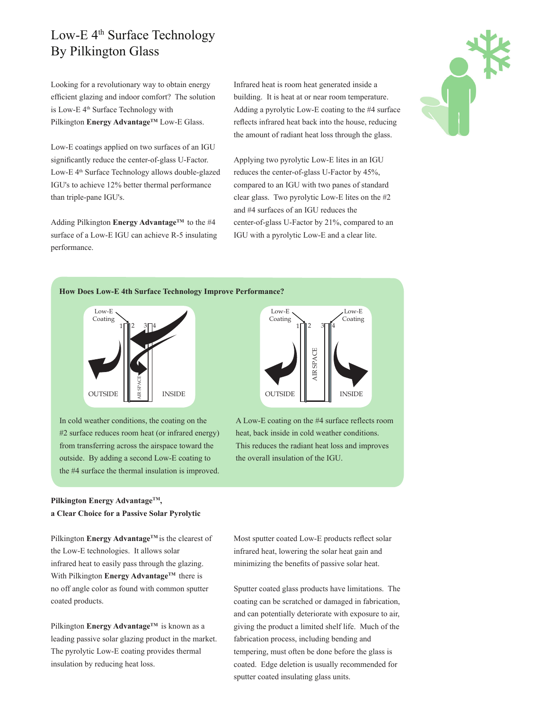# Low-E 4<sup>th</sup> Surface Technology By Pilkington Glass

Looking for a revolutionary way to obtain energy efficient glazing and indoor comfort? The solution is Low-E 4<sup>th</sup> Surface Technology with Pilkington Energy Advantage<sup>TM</sup> Low-E Glass.

Low-E coatings applied on two surfaces of an IGU significantly reduce the center-of-glass U-Factor. Low-E 4<sup>th</sup> Surface Technology allows double-glazed IGU's to achieve 12% better thermal performance than triple-pane IGU's.

Adding Pilkington **Energy Advantage™** to the #4 surface of a Low-E IGU can achieve R-5 insulating performance.

Infrared heat is room heat generated inside a building. It is heat at or near room temperature. Adding a pyrolytic Low-E coating to the #4 surface reflects infrared heat back into the house, reducing the amount of radiant heat loss through the glass.

Applying two pyrolytic Low-E lites in an IGU reduces the center-of-glass U-Factor by 45%, compared to an IGU with two panes of standard clear glass. Two pyrolytic Low-E lites on the #2 and #4 surfaces of an IGU reduces the center-of-glass U-Factor by 21%, compared to an IGU with a pyrolytic Low-E and a clear lite.



#### **How Does Low-E 4th Surface Technology Improve Performance?**



In cold weather conditions, the coating on the #2 surface reduces room heat (or infrared energy) from transferring across the airspace toward the outside. By adding a second Low-E coating to the #4 surface the thermal insulation is improved.



A Low-E coating on the #4 surface reflects room heat, back inside in cold weather conditions. This reduces the radiant heat loss and improves the overall insulation of the IGU.

## **Pilkington Energy AdvantageTM, a Clear Choice for a Passive Solar Pyrolytic**

Pilkington **Energy Advantage**<sup>TM</sup> is the clearest of the Low-E technologies. It allows solar infrared heat to easily pass through the glazing. With Pilkington **Energy Advantage**<sup>TM</sup> there is no off angle color as found with common sputter coated products.

Pilkington **Energy Advantage™** is known as a leading passive solar glazing product in the market. The pyrolytic Low-E coating provides thermal insulation by reducing heat loss.

Most sputter coated Low-E products reflect solar infrared heat, lowering the solar heat gain and minimizing the benefits of passive solar heat.

Sputter coated glass products have limitations. The coating can be scratched or damaged in fabrication, and can potentially deteriorate with exposure to air, giving the product a limited shelf life. Much of the fabrication process, including bending and tempering, must often be done before the glass is coated. Edge deletion is usually recommended for sputter coated insulating glass units.